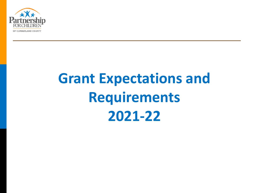

# **Grant Expectations and Requirements 2021-22**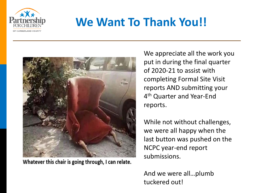

# **We Want To Thank You!!**



Whatever this chair is going through, I can relate.

We appreciate all the work you put in during the final quarter of 2020-21 to assist with completing Formal Site Visit reports AND submitting your 4th Quarter and Year-End reports.

While not without challenges, we were all happy when the last button was pushed on the NCPC year-end report submissions.

And we were all…plumb tuckered out!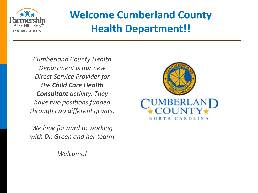

# **Welcome Cumberland County Health Department!!**

*Cumberland County Health Department is our new Direct Service Provider for the Child Care Health Consultant activity. They have two positions funded through two different grants.* 

*We look forward to working with Dr. Green and her team!* 

*Welcome!* 

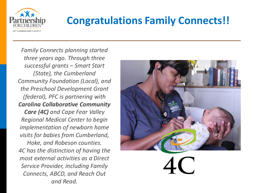

# **Congratulations Family Connects!!**

*Family Connects planning started three years ago. Through three successful grants – Smart Start (State), the Cumberland Community Foundation (Local), and the Preschool Development Grant (federal), PFC is partnering with Carolina Collaborative Community Care (4C) and Cape Fear Valley Regional Medical Center to begin implementation of newborn home visits for babies from Cumberland, Hoke, and Robeson counties. 4C has the distinction of having the most external activities as a Direct Service Provider, including Family Connects, ABCD, and Reach Out and Read.*

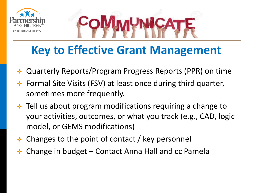



# **Key to Effective Grant Management**

- Quarterly Reports/Program Progress Reports (PPR) on time
- Formal Site Visits (FSV) at least once during third quarter, sometimes more frequently.
- $\cdot$  Tell us about program modifications requiring a change to your activities, outcomes, or what you track (e.g., CAD, logic model, or GEMS modifications)
- $\div$  Changes to the point of contact / key personnel
- Change in budget Contact Anna Hall and cc Pamela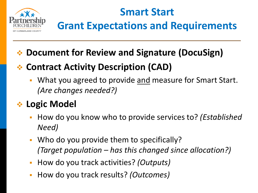

#### **Smart Start**

## **Grant Expectations and Requirements**

#### **Document for Review and Signature (DocuSign)**

#### **Example 2 Contract Activity Description (CAD)**

What you agreed to provide and measure for Smart Start. *(Are changes needed?)* 

#### **Logic Model**

- How do you know who to provide services to? *(Established Need)*
- Who do you provide them to specifically? *(Target population – has this changed since allocation?)*
- How do you track activities? *(Outputs)*
- How do you track results? *(Outcomes)*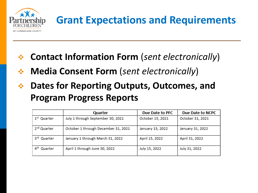

- **Contact Information Form** (*sent electronically*)
- **Media Consent Form** (*sent electronically*)
- **Dates for Reporting Outputs, Outcomes, and Program Progress Reports**

|                         | Quarter                             | Due Date to PFC  | Due Date to NCPC |
|-------------------------|-------------------------------------|------------------|------------------|
| 1 <sup>st</sup> Quarter | July 1 through September 30, 2021   | October 15, 2021 | October 31, 2021 |
| 2 <sup>nd</sup> Quarter | October 1 through December 31, 2021 | January 15, 2022 | January 31, 2022 |
| 3 <sup>rd</sup> Quarter | January 1 through March 31, 2022    | April 15, 2022   | April 31, 2022   |
| 4 <sup>th</sup> Quarter | April 1 through June 30, 2022       | July 15, 2022    | July 31, 2022    |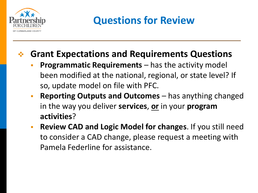

**Questions for Review**

#### **Grant Expectations and Requirements Questions**

- **Programmatic Requirements**  has the activity model been modified at the national, regional, or state level? If so, update model on file with PFC.
- **Reporting Outputs and Outcomes**  has anything changed in the way you deliver **services**, **or** in your **program activities**?
- **Review CAD and Logic Model for changes**. If you still need to consider a CAD change, please request a meeting with Pamela Federline for assistance.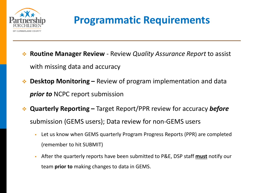

## **Programmatic Requirements**

- **Routine Manager Review**  Review *Quality Assurance Report* to assist with missing data and accuracy
- ◆ **Desktop Monitoring** Review of program implementation and data *prior to* NCPC report submission
- **Quarterly Reporting –** Target Report/PPR review for accuracy *before* submission (GEMS users); Data review for non-GEMS users
	- Let us know when GEMS quarterly Program Progress Reports (PPR) are completed (remember to hit SUBMIT)
	- After the quarterly reports have been submitted to P&E, DSP staff **must** notify our team **prior to** making changes to data in GEMS.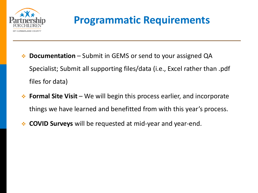

## **Programmatic Requirements**

- ◆ **Documentation** Submit in GEMS or send to your assigned QA Specialist; Submit all supporting files/data (i.e., Excel rather than .pdf files for data)
- **Formal Site Visit**  We will begin this process earlier, and incorporate things we have learned and benefitted from with this year's process.
- **COVID Surveys** will be requested at mid-year and year-end.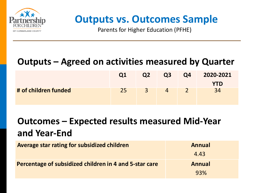

## **Outputs vs. Outcomes Sample**

Parents for Higher Education (PFHE)

#### **Outputs – Agreed on activities measured by Quarter**

|                      | Q1 | Q <sub>2</sub> | Q <sub>3</sub> | Q4 | 2020-2021<br><b>YTD</b> |
|----------------------|----|----------------|----------------|----|-------------------------|
| # of children funded | 25 | 3              | $\overline{4}$ |    |                         |

#### **Outcomes – Expected results measured Mid-Year and Year-End**

| Average star rating for subsidized children            | <b>Annual</b> |
|--------------------------------------------------------|---------------|
|                                                        | 4.43          |
| Percentage of subsidized children in 4 and 5-star care | Annual        |
|                                                        | 93%           |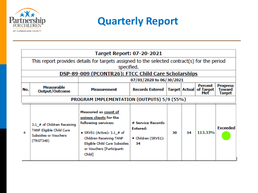

#### **Quarterly Report**

|     | <b>Target Report: 07-20-2021</b>                                                                            |                                                                                                                                                                                                               |                                                            |    |    |                                           |                                     |  |  |
|-----|-------------------------------------------------------------------------------------------------------------|---------------------------------------------------------------------------------------------------------------------------------------------------------------------------------------------------------------|------------------------------------------------------------|----|----|-------------------------------------------|-------------------------------------|--|--|
|     | This report provides details for targets assigned to the selected contract(s) for the period<br>specified.  |                                                                                                                                                                                                               |                                                            |    |    |                                           |                                     |  |  |
|     |                                                                                                             | DSP-89-009 (PCONTR26): FTCC Child Care Scholarships                                                                                                                                                           |                                                            |    |    |                                           |                                     |  |  |
|     |                                                                                                             |                                                                                                                                                                                                               | 07/01/2020 to 06/30/2021                                   |    |    |                                           |                                     |  |  |
| No. | <b>Measurable</b><br>Output/Outcome                                                                         | <b>Measurement</b>                                                                                                                                                                                            | <b>Records Entered</b>                                     |    |    | Percent<br>Target Actual of Target<br>Met | <b>Progress</b><br>Toward<br>Target |  |  |
|     |                                                                                                             | PROGRAM IMPLEMENTATION (OUTPUTS) 5/9 (55%)                                                                                                                                                                    |                                                            |    |    |                                           |                                     |  |  |
| 4   | 3.1 # of Children Receiving<br><b>TANF Eligible Child Care</b><br><b>Subsidies or Vouchers</b><br>(TRGT348) | Measured as count of<br>unique clients for the<br>following services:<br>• SRV51 (Active): 3.1 # of<br><b>Children Receiving TANF</b><br>Eligible Child Care Subsidies<br>or Vouchers [Participant:<br>Child] | # Service Records<br>Entered:<br>· Children (SRV51):<br>34 | 30 | 34 | 113.33%                                   | <b>Exceeded</b>                     |  |  |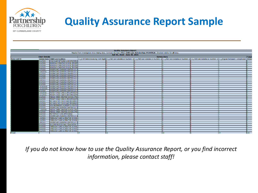

## **Quality Assurance Report Sample**

OF CUMBERLAND COUNTY

|                    |                       |                                          |                                                                                                                                                                                                                                | <b>Quality Assurance Report</b> |                     |  |              |
|--------------------|-----------------------|------------------------------------------|--------------------------------------------------------------------------------------------------------------------------------------------------------------------------------------------------------------------------------|---------------------------------|---------------------|--|--------------|
|                    |                       |                                          | Results from investigation into missing data. Contract Number: FTCC Child Care Scholarships PCONTR26. Checked validity for all data                                                                                            |                                 |                     |  |              |
|                    |                       |                                          |                                                                                                                                                                                                                                | July 01, 2020 - June 30, 2021   |                     |  |              |
|                    | <b>Client Details</b> | Intake Date Child Care Facilities        | 3.1 # of Children Receiving TANF Eligible 3.1 Child Care Subsidies or Vouchers - e 3.1 Child Care Subsidies or Vouchers - e 3.1 Child Care Subsidies or Vouchers - e 3.1 Child Care Subsidies or Vouchers - e 3.1 Child Care S |                                 | <b>Service Data</b> |  | <b>Total</b> |
| <b>Name and ID</b> |                       | CHILDCARE NETWORK #109 (PDCDPRO          |                                                                                                                                                                                                                                |                                 |                     |  |              |
|                    | 8/1/2020<br>8/1/2020  | BORDEAUX CREATIVE SCHOOL (PDCDPF         |                                                                                                                                                                                                                                |                                 |                     |  |              |
|                    | 8/1/2020              | BORDEAUX CREATIVE SCHOOL (PDCDPF         |                                                                                                                                                                                                                                |                                 |                     |  |              |
|                    | 8/1/2020              | BORDEAUX CREATIVE SCHOOL (PDCDPF         |                                                                                                                                                                                                                                |                                 |                     |  |              |
|                    | 9/7/2020              | KINDERCARE LEARNING CENTERS LLC (        |                                                                                                                                                                                                                                |                                 |                     |  |              |
|                    | 3/15/2021             | KINDERCARE LEARNING CENTERS LLC (        |                                                                                                                                                                                                                                |                                 |                     |  |              |
|                    | 8/1/2020              | KINDERCARE LEARNING CENTERS LLC (        |                                                                                                                                                                                                                                |                                 |                     |  |              |
|                    | 8/1/2020              | KINDERCARE LEARNING CENTERS LLC (        |                                                                                                                                                                                                                                |                                 |                     |  |              |
|                    | 8/1/2020              | KINDERCARE LEARNING CENTERS LLC (        |                                                                                                                                                                                                                                |                                 |                     |  |              |
|                    | 5/3/2021              | KINDERCARE LEARNING CENTERS LLC (        |                                                                                                                                                                                                                                |                                 |                     |  |              |
|                    | 8/1/2020              | KINDERCARE LEARNING CENTERS LLC (        |                                                                                                                                                                                                                                |                                 |                     |  |              |
|                    | 8/1/2020              | KINDERCARE LEARNING CENTERS LLC (        |                                                                                                                                                                                                                                |                                 |                     |  |              |
|                    | 10/15/2020            | KINDERCARE LEARNING CENTERS LLC (        |                                                                                                                                                                                                                                |                                 |                     |  |              |
|                    | 10/15/2020            | KINDERCARE LEARNING CENTERS LLC (        |                                                                                                                                                                                                                                |                                 |                     |  |              |
|                    | 8/1/2020              | KINDERCARE LEARNING CENTERS LLC (        |                                                                                                                                                                                                                                |                                 |                     |  |              |
|                    | 3/11/2021             | TRINITY CHILD CARE II (PDCDPROG373       |                                                                                                                                                                                                                                |                                 |                     |  |              |
|                    | 3/11/2021             | TRINITY CHILD CARE II (PDCDPROG373       |                                                                                                                                                                                                                                |                                 |                     |  |              |
|                    | 8/1/2020              | MIDDLE CREEK CREATIVE SCHOOL (PDC        |                                                                                                                                                                                                                                |                                 |                     |  |              |
|                    | 8/1/2020              | TRINITY CHILD CARE II (PDCDPROG373       |                                                                                                                                                                                                                                |                                 |                     |  |              |
|                    | 4/1/2021              | MS CAROLYN'S CHILD CARE (PDCDPROD        |                                                                                                                                                                                                                                |                                 |                     |  |              |
|                    | 8/1/2020              | MS CAROLYN'S CHILD CARE (PDCDPROD        |                                                                                                                                                                                                                                |                                 |                     |  |              |
|                    | 8/1/2020              | NEW BEGINNING'S ACADEMY & YOUTH D        |                                                                                                                                                                                                                                |                                 |                     |  |              |
|                    | 8/1/2020              | KINDERCARE LEARNING CENTERS LLC (        |                                                                                                                                                                                                                                |                                 |                     |  |              |
|                    | 11/2/2020             | MIDDLE CREEK CREATIVE SCHOOL (PDC        |                                                                                                                                                                                                                                |                                 |                     |  |              |
|                    | 8/1/2020              | MIDDLE CREEK CREATIVE SCHOOL (PDC        |                                                                                                                                                                                                                                |                                 |                     |  |              |
|                    | 8/1/2020              | ME MOM DAY CARE (PPROG962)               |                                                                                                                                                                                                                                |                                 |                     |  |              |
|                    | 8/1/2020              | KINDERCARE LEARNING CENTERS LLC (        |                                                                                                                                                                                                                                |                                 |                     |  |              |
|                    | 1/1/2021              | PANDA DAY CARE & CREATIVE SCHOOL         |                                                                                                                                                                                                                                |                                 |                     |  |              |
|                    | 1/1/2021              | PANDA DAY CARE & CREATIVE SCHOOL         |                                                                                                                                                                                                                                |                                 |                     |  |              |
|                    | 2/8/2021              | KINDERCARE LEARNING CENTERS LLC (        |                                                                                                                                                                                                                                |                                 |                     |  |              |
|                    | 8/1/2020              | <b>BUILDING BLOCKS EARLY EDUCATION C</b> |                                                                                                                                                                                                                                |                                 |                     |  |              |
|                    | 8/1/2020              | PANDA DAY CARE & CREATIVE SCHOOL         |                                                                                                                                                                                                                                |                                 |                     |  |              |
|                    | 8/1/2020              | PANDA DAY CARE & CREATIVE SCHOOL         |                                                                                                                                                                                                                                |                                 |                     |  |              |
|                    | 8/1/2020              | PANDA DAY CARE & CREATIVE SCHOOL         |                                                                                                                                                                                                                                |                                 |                     |  |              |
| (Total)            |                       |                                          | 34                                                                                                                                                                                                                             |                                 |                     |  | 102          |

*If you do not know how to use the Quality Assurance Report, or you find incorrect information, please contact staff!*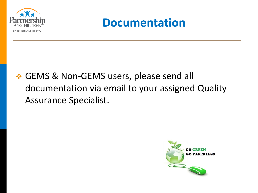



#### **• GEMS & Non-GEMS users, please send all** documentation via email to your assigned Quality Assurance Specialist.

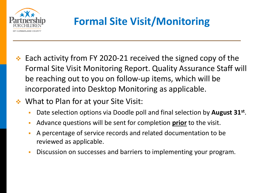

# **Formal Site Visit/Monitoring**

- $\cdot$  Each activity from FY 2020-21 received the signed copy of the Formal Site Visit Monitoring Report. Quality Assurance Staff will be reaching out to you on follow-up items, which will be incorporated into Desktop Monitoring as applicable.
- ◆ What to Plan for at your Site Visit:
	- Date selection options via Doodle poll and final selection by **August 31st**.
	- Advance questions will be sent for completion **prior** to the visit.
	- A percentage of service records and related documentation to be reviewed as applicable.
	- Discussion on successes and barriers to implementing your program.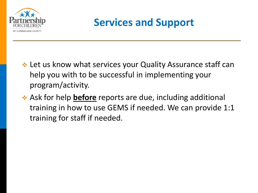

### **Services and Support**

- **Example 1:** Let us know what services your Quality Assurance staff can help you with to be successful in implementing your program/activity.
- Ask for help **before** reports are due, including additional training in how to use GEMS if needed. We can provide 1:1 training for staff if needed.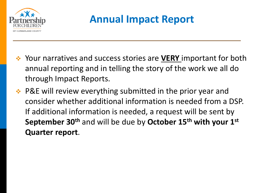

## **Annual Impact Report**

- Your narratives and success stories are **VERY** important for both annual reporting and in telling the story of the work we all do through Impact Reports.
- ◆ P&E will review everything submitted in the prior year and consider whether additional information is needed from a DSP. If additional information is needed, a request will be sent by **September 30th** and will be due by **October 15th with your 1st Quarter report**.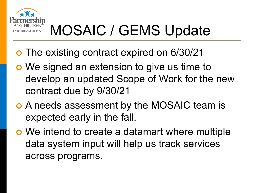

# MOSAIC / GEMS Update

- The existing contract expired on 6/30/21
- We signed an extension to give us time to develop an updated Scope of Work for the new contract due by 9/30/21
- A needs assessment by the MOSAIC team is expected early in the fall.
- We intend to create a datamart where multiple data system input will help us track services across programs.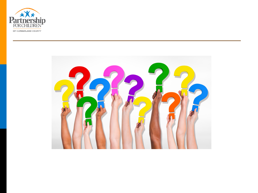

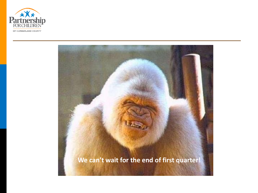